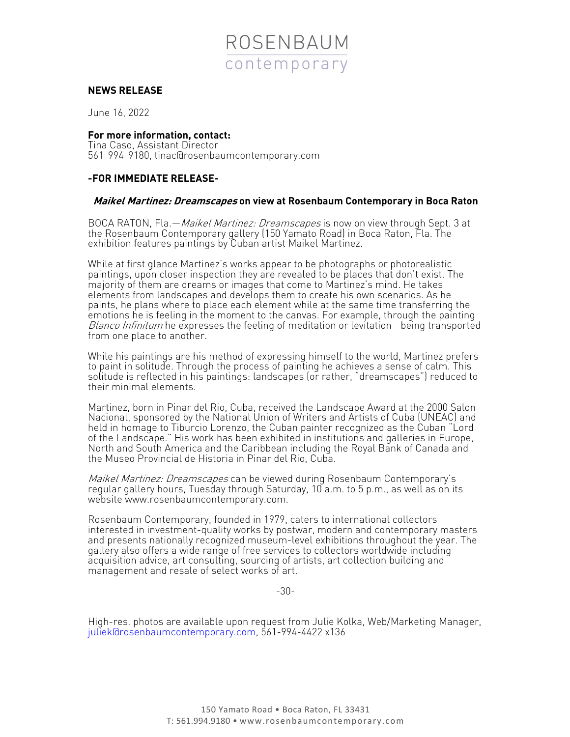

## **NEWS RELEASE**

June 16, 2022

**For more information, contact:** Tina Caso, Assistant Director 561-994-9180, tinac@rosenbaumcontemporary.com

## **-FOR IMMEDIATE RELEASE-**

## **Maikel Martinez: Dreamscapes on view at Rosenbaum Contemporary in Boca Raton**

BOCA RATON, Fla. - Maikel Martinez: Dreamscapes is now on view through Sept. 3 at the Rosenbaum Contemporary gallery (150 Yamato Road) in Boca Raton, Fla. The exhibition features paintings by Cuban artist Maikel Martinez.

While at first glance Martinez's works appear to be photographs or photorealistic paintings, upon closer inspection they are revealed to be places that don't exist. The majority of them are dreams or images that come to Martinez's mind. He takes elements from landscapes and develops them to create his own scenarios. As he paints, he plans where to place each element while at the same time transferring the emotions he is feeling in the moment to the canvas. For example, through the painting Blanco Infinitum he expresses the feeling of meditation or levitation—being transported from one place to another.

While his paintings are his method of expressing himself to the world, Martinez prefers to paint in solitude. Through the process of painting he achieves a sense of calm. This solitude is reflected in his paintings: landscapes (or rather, "dreamscapes") reduced to their minimal elements.

Martinez, born in Pinar del Rio, Cuba, received the Landscape Award at the 2000 Salon Nacional, sponsored by the National Union of Writers and Artists of Cuba (UNEAC) and<br>held in homage to Tiburcio Lorenzo, the Cuban painter recognized as the Cuban "Lord of the Landscape." His work has been exhibited in institutions and galleries in Europe, North and South America and the Caribbean including the Royal Bank of Canada and the Museo Provincial de Historia in Pinar del Rio, Cuba.

Maikel Martinez: Dreamscapes can be viewed during Rosenbaum Contemporary's regular gallery hours, Tuesday through Saturday, 10 a.m. to 5 p.m., as well as on its website www.rosenbaumcontemporary.com.

Rosenbaum Contemporary, founded in 1979, caters to international collectors interested in investment-quality works by postwar, modern and contemporary masters and presents nationally recognized museum-level exhibitions throughout the year. The gallery also offers a wide range of free services to collectors worldwide including acquisition advice, art consulting, sourcing of artists, art collection building and management and resale of select works of art.

-30-

High-res. photos are available upon request from Julie Kolka, Web/Marketing Manager, juliek@rosenbaumcontemporary.com, 561-994-4422 x136